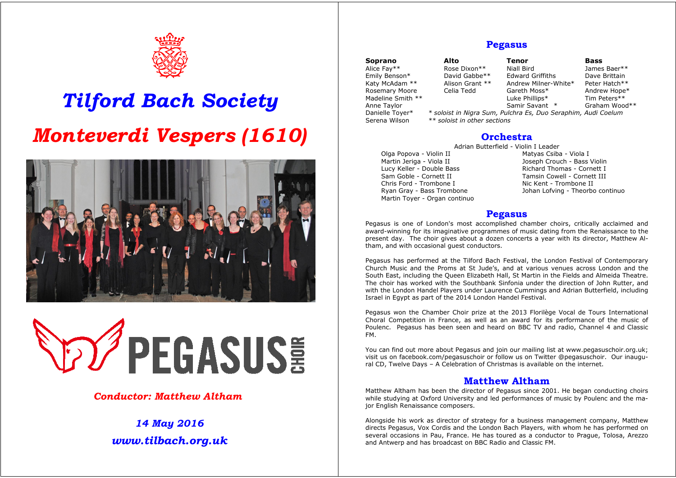

# *Tilford Bach Society Monteverdi Vespers (1610)*





### *Conductor: Matthew Altham*

# *14 May 2016 www.tilbach.org.uk*

# **Pegasus**

| Soprano           |          |
|-------------------|----------|
| Alice Fay**       |          |
| Emily Benson*     |          |
| Katy McAdam **    |          |
| Rosemary Moore    |          |
| Madeline Smith ** |          |
| Anne Taylor       |          |
| Danielle Toyer*   | $\ast$ . |
| Serena Wilson     | $**$     |

**Soprano Alto Tenor Bass**  Rose Dixon\*\* Miall Bird James Baer\*\*<br>David Gabbe\*\* Edward Griffiths Dave Brittain David Gabbe\*\* Edward Griffiths Dave Brittain<br>Alison Grant \*\* Andrew Milner-White\* Peter Hatch\*\* Alison Grant \*\* Andrew Milner-White\* Celia Tedd Gareth Moss\* Luke Phillips\*<br>Samir Savant \*

Andrew Hope\*<br>Tim Peters\*\* Graham Wood\*\*

soloist in Nigra Sum, Pulchra Es, Duo Seraphim, Audi Coelum  $*$  soloist in other sections

## **Orchestra**

Adrian Butterfield - Violin I Leader

Olga Popova - Violin II and Matyas Csiba - Viola I Martin Jerian - Viola I Martin Jerian - Viola I Martin Jeriga - Viola II (and the Superbuch - Bass Violin I ucy Keller - Double Bass Violin I ucy Keller - Double Bass Lucy Keller - Double Bass **Richard Thomas - Cornett I** Sam Goble - Cornett II Chris Ford - Trombone I Nic Kent - Trombone II Martin Toyer - Organ continuo

Tamsin Cowell - Cornett III Ryan Gray - Bass Trombone Johan Lofving - Theorbo continuo

# **Pegasus**

Pegasus is one of London's most accomplished chamber choirs, critically acclaimed and award-winning for its imaginative programmes of music dating from the Renaissance to the present day. The choir gives about a dozen concerts a year with its director, Matthew Altham, and with occasional guest conductors.

Pegasus has performed at the Tilford Bach Festival, the London Festival of Contemporary Church Music and the Proms at St Jude's, and at various venues across London and the South East, including the Queen Elizabeth Hall, St Martin in the Fields and Almeida Theatre. The choir has worked with the Southbank Sinfonia under the direction of John Rutter, and with the London Handel Players under Laurence Cummings and Adrian Butterfield, including Israel in Egypt as part of the 2014 London Handel Festival.

Pegasus won the Chamber Choir prize at the 2013 Florilège Vocal de Tours International Choral Competition in France, as well as an award for its performance of the music of Poulenc. Pegasus has been seen and heard on BBC TV and radio, Channel 4 and Classic FM.

You can find out more about Pegasus and join our mailing list at www.pegasuschoir.org.uk; visit us on facebook.com/pegasuschoir or follow us on Twitter @pegasuschoir. Our inaugural CD, Twelve Days – A Celebration of Christmas is available on the internet.

### **Matthew Altham**

Matthew Altham has been the director of Pegasus since 2001. He began conducting choirs while studying at Oxford University and led performances of music by Poulenc and the major English Renaissance composers.

Alongside his work as director of strategy for a business management company, Matthew directs Pegasus, Vox Cordis and the London Bach Players, with whom he has performed on several occasions in Pau, France. He has toured as a conductor to Prague, Tolosa, Arezzo and Antwerp and has broadcast on BBC Radio and Classic FM.